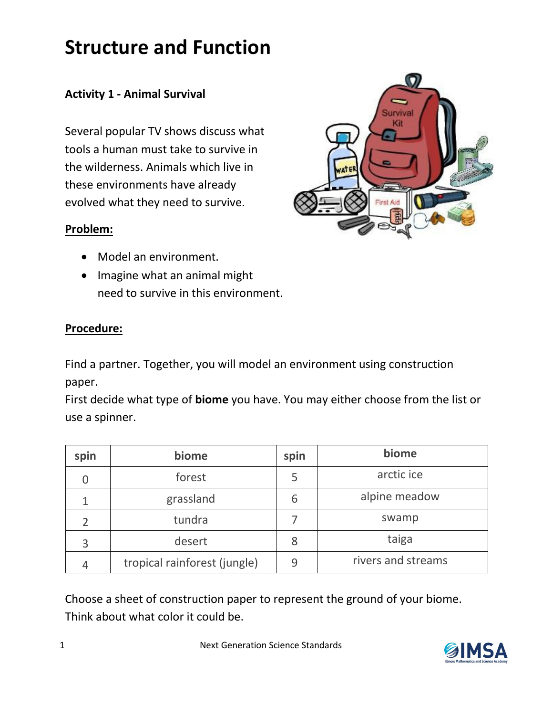# **Structure and Function**

## **Activity 1 - Animal Survival**

Several popular TV shows discuss what tools a human must take to survive in the wilderness. Animals which live in these environments have already evolved what they need to survive.

#### **Problem:**

- Model an environment.
- Imagine what an animal might need to survive in this environment.

### **Procedure:**

Find a partner. Together, you will model an environment using construction paper.

First decide what type of **biome** you have. You may either choose from the list or use a spinner.

| spin | biome                        | spin | biome              |
|------|------------------------------|------|--------------------|
|      | forest                       | 5    | arctic ice         |
|      | grassland                    | 6    | alpine meadow      |
|      | tundra                       |      | swamp              |
| 3    | desert                       | 8    | taiga              |
|      | tropical rainforest (jungle) | 9    | rivers and streams |

Choose a sheet of construction paper to represent the ground of your biome. Think about what color it could be.

1 Next Generation Science Standards



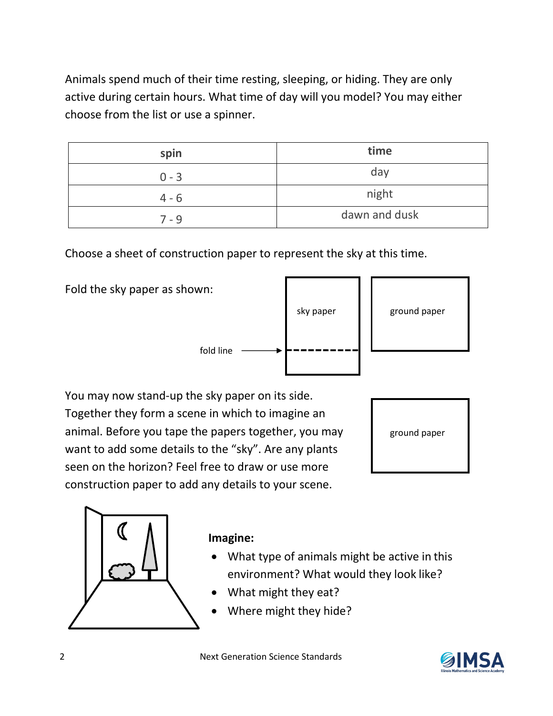Animals spend much of their time resting, sleeping, or hiding. They are only active during certain hours. What time of day will you model? You may either choose from the list or use a spinner.

| spin    | time          |
|---------|---------------|
| $0 - 3$ | day           |
| $4 - 6$ | night         |
| 7 - 9   | dawn and dusk |

Choose a sheet of construction paper to represent the sky at this time.

Fold the sky paper as shown:

fold line  $\qquad$ 

| sky paper | ground paper |
|-----------|--------------|
|           |              |

You may now stand-up the sky paper on its side. Together they form a scene in which to imagine an animal. Before you tape the papers together, you may want to add some details to the "sky". Are any plants seen on the horizon? Feel free to draw or use more construction paper to add any details to your scene.

ground paper



### **Imagine:**

- What type of animals might be active in this environment? What would they look like?
- What might they eat?
- Where might they hide?

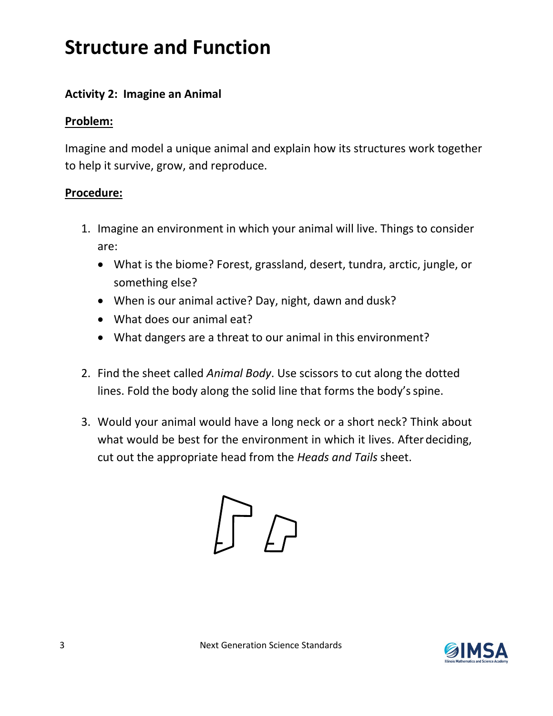# **Structure and Function**

## **Activity 2: Imagine an Animal**

## **Problem:**

Imagine and model a unique animal and explain how its structures work together to help it survive, grow, and reproduce.

### **Procedure:**

- 1. Imagine an environment in which your animal will live. Things to consider are:
	- What is the biome? Forest, grassland, desert, tundra, arctic, jungle, or something else?
	- When is our animal active? Day, night, dawn and dusk?
	- What does our animal eat?
	- What dangers are a threat to our animal in this environment?
- 2. Find the sheet called *Animal Body*. Use scissors to cut along the dotted lines. Fold the body along the solid line that forms the body'sspine.
- 3. Would your animal would have a long neck or a short neck? Think about what would be best for the environment in which it lives. Afterdeciding, cut out the appropriate head from the *Heads and Tails* sheet.



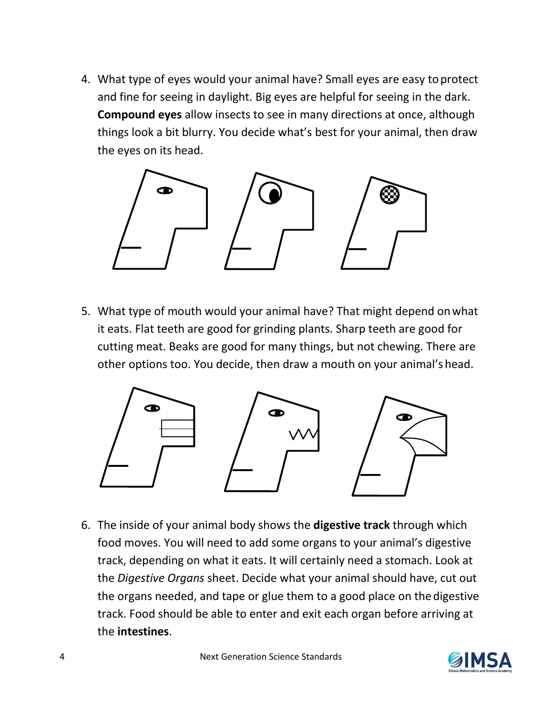4. What type of eyes would your animal have? Small eyes are easy toprotect and fine for seeing in daylight. Big eyes are helpful for seeing in the dark. **Compound eyes** allow insects to see in many directions at once, although things look a bit blurry. You decide what's best for your animal, then draw the eyes on its head.



5. What type of mouth would your animal have? That might depend onwhat it eats. Flat teeth are good for grinding plants. Sharp teeth are good for cutting meat. Beaks are good for many things, but not chewing. There are other options too. You decide, then draw a mouth on your animal's head.



6. The inside of your animal body shows the **digestive track** through which food moves. You will need to add some organs to your animal's digestive track, depending on what it eats. It will certainly need a stomach. Look at the *Digestive Organs* sheet. Decide what your animal should have, cut out the organs needed, and tape or glue them to a good place on thedigestive track. Food should be able to enter and exit each organ before arriving at the **intestines**.

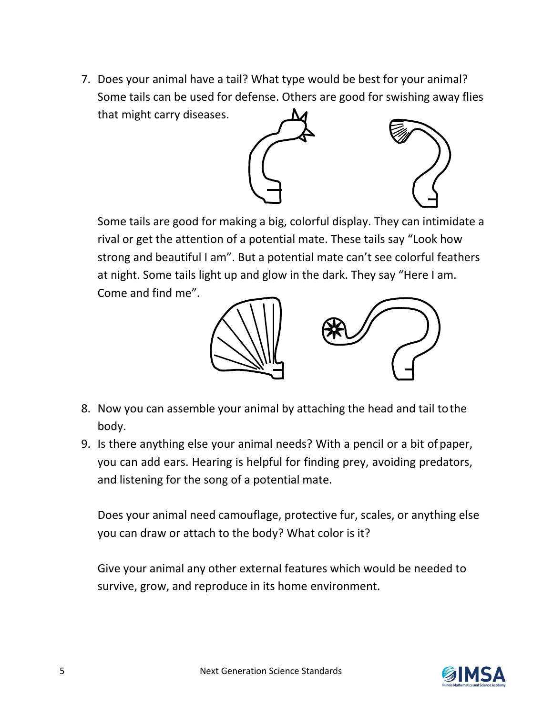7. Does your animal have a tail? What type would be best for your animal? Some tails can be used for defense. Others are good for swishing away flies that might carry diseases.



Some tails are good for making a big, colorful display. They can intimidate a rival or get the attention of a potential mate. These tails say "Look how strong and beautiful I am". But a potential mate can't see colorful feathers at night. Some tails light up and glow in the dark. They say "Here I am. Come and find me".



- 8. Now you can assemble your animal by attaching the head and tail tothe body.
- 9. Is there anything else your animal needs? With a pencil or a bit ofpaper, you can add ears. Hearing is helpful for finding prey, avoiding predators, and listening for the song of a potential mate.

Does your animal need camouflage, protective fur, scales, or anything else you can draw or attach to the body? What color is it?

Give your animal any other external features which would be needed to survive, grow, and reproduce in its home environment.

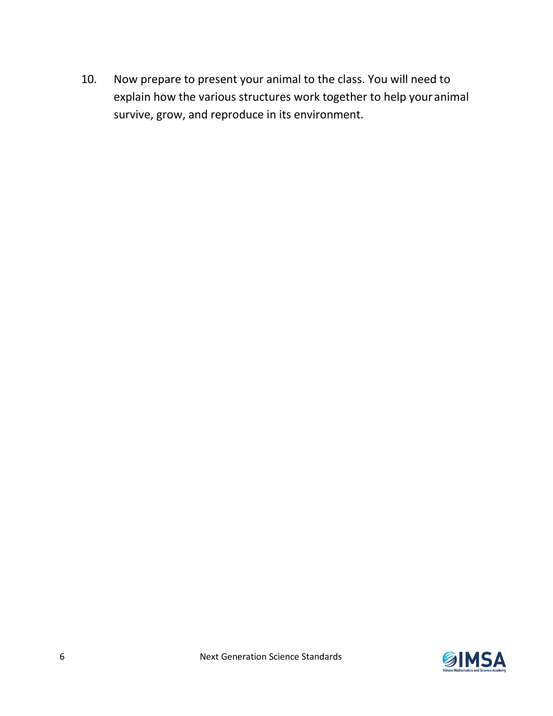10. Now prepare to present your animal to the class. You will need to explain how the various structures work together to help your animal survive, grow, and reproduce in its environment.

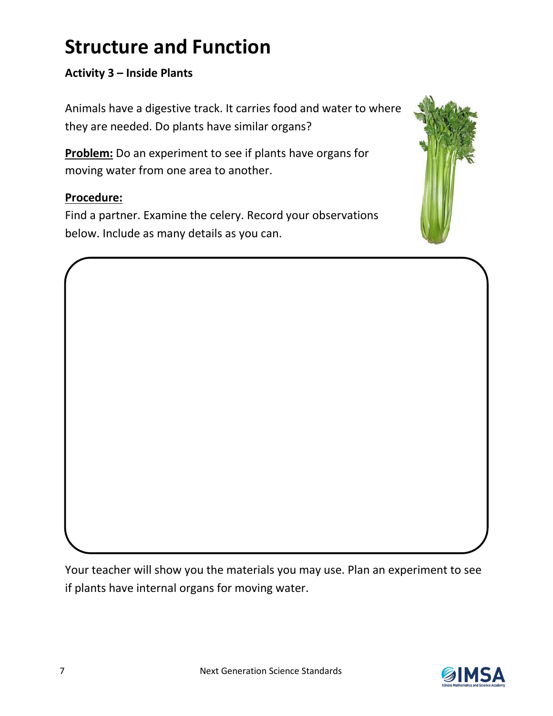# **Structure and Function**

## **Activity 3 – Inside Plants**

Animals have a digestive track. It carries food and water to where they are needed. Do plants have similar organs?

**Problem:** Do an experiment to see if plants have organs for moving water from one area to another.

### **Procedure:**

Find a partner. Examine the celery. Record your observations below. Include as many details as you can.



Your teacher will show you the materials you may use. Plan an experiment to see if plants have internal organs for moving water.